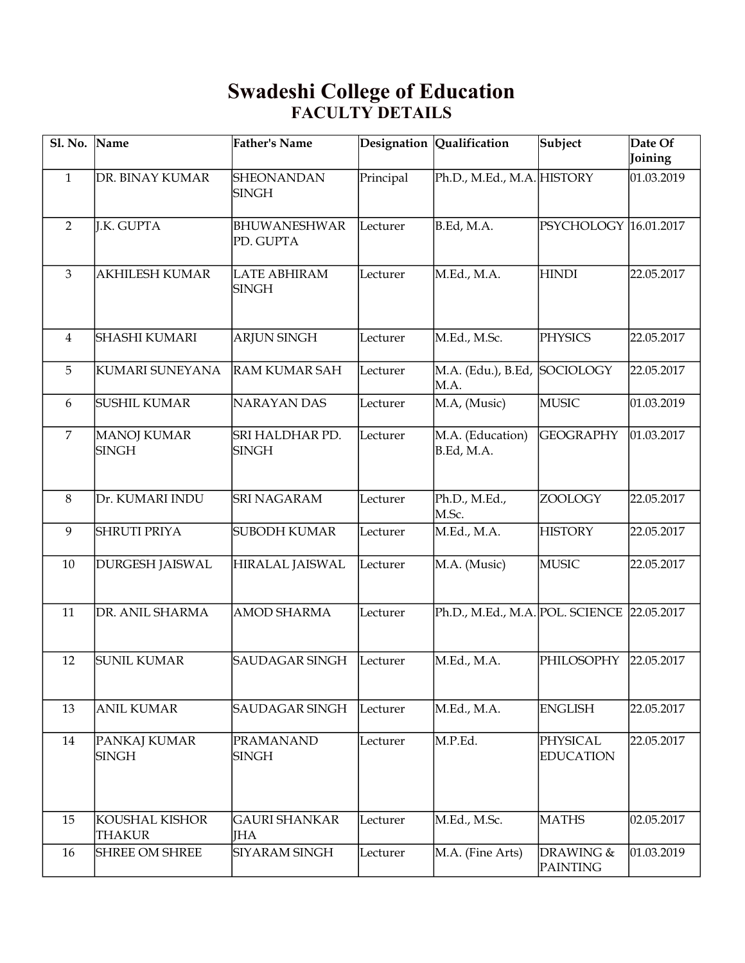## **Swadeshi College of Education FACULTY DETAILS**

| Sl. No. Name   |                                 | <b>Father's Name</b>                |           | Designation Qualification                  | Subject                      | Date Of<br>Joining |
|----------------|---------------------------------|-------------------------------------|-----------|--------------------------------------------|------------------------------|--------------------|
| $\mathbf{1}$   | DR. BINAY KUMAR                 | SHEONANDAN<br><b>SINGH</b>          | Principal | Ph.D., M.Ed., M.A. HISTORY                 |                              | 01.03.2019         |
| $\overline{2}$ | J.K. GUPTA                      | <b>BHUWANESHWAR</b><br>PD. GUPTA    | Lecturer  | B.Ed, M.A.                                 | PSYCHOLOGY 16.01.2017        |                    |
| 3              | <b>AKHILESH KUMAR</b>           | <b>LATE ABHIRAM</b><br><b>SINGH</b> | Lecturer  | M.Ed., M.A.                                | <b>HINDI</b>                 | 22.05.2017         |
| $\overline{4}$ | SHASHI KUMARI                   | <b>ARJUN SINGH</b>                  | Lecturer  | M.Ed., M.Sc.                               | <b>PHYSICS</b>               | 22.05.2017         |
| 5              | KUMARI SUNEYANA                 | <b>RAM KUMAR SAH</b>                | Lecturer  | M.A. (Edu.), B.Ed,<br>M.A.                 | SOCIOLOGY                    | 22.05.2017         |
| 6              | SUSHIL KUMAR                    | <b>NARAYAN DAS</b>                  | Lecturer  | M.A, (Music)                               | <b>MUSIC</b>                 | 01.03.2019         |
| $\overline{7}$ | MANOJ KUMAR<br><b>SINGH</b>     | SRI HALDHAR PD.<br><b>SINGH</b>     | Lecturer  | M.A. (Education)<br>B.Ed, M.A.             | <b>GEOGRAPHY</b>             | 01.03.2017         |
| $\, 8$         | Dr. KUMARI INDU                 | <b>SRI NAGARAM</b>                  | Lecturer  | Ph.D., M.Ed.,<br>M.Sc.                     | ZOOLOGY                      | 22.05.2017         |
| 9              | <b>SHRUTI PRIYA</b>             | <b>SUBODH KUMAR</b>                 | Lecturer  | M.Ed., M.A.                                | <b>HISTORY</b>               | 22.05.2017         |
| 10             | <b>DURGESH JAISWAL</b>          | HIRALAL JAISWAL                     | Lecturer  | M.A. (Music)                               | <b>MUSIC</b>                 | 22.05.2017         |
| 11             | DR. ANIL SHARMA                 | <b>AMOD SHARMA</b>                  | Lecturer  | Ph.D., M.Ed., M.A. POL. SCIENCE 22.05.2017 |                              |                    |
| 12             | <b>SUNIL KUMAR</b>              | <b>SAUDAGAR SINGH</b>               | Lecturer  | M.Ed., M.A.                                | PHILOSOPHY                   | 22.05.2017         |
| 13             | <b>ANIL KUMAR</b>               | SAUDAGAR SINGH                      | Lecturer  | M.Ed., M.A.                                | <b>ENGLISH</b>               | 22.05.2017         |
| 14             | PANKAJ KUMAR<br><b>SINGH</b>    | <b>PRAMANAND</b><br><b>SINGH</b>    | Lecturer  | M.P.Ed.                                    | PHYSICAL<br><b>EDUCATION</b> | 22.05.2017         |
| 15             | KOUSHAL KISHOR<br><b>THAKUR</b> | <b>GAURI SHANKAR</b><br><b>IHA</b>  | Lecturer  | M.Ed., M.Sc.                               | <b>MATHS</b>                 | 02.05.2017         |
| 16             | <b>SHREE OM SHREE</b>           | <b>SIYARAM SINGH</b>                | Lecturer  | M.A. (Fine Arts)                           | DRAWING &<br><b>PAINTING</b> | 01.03.2019         |